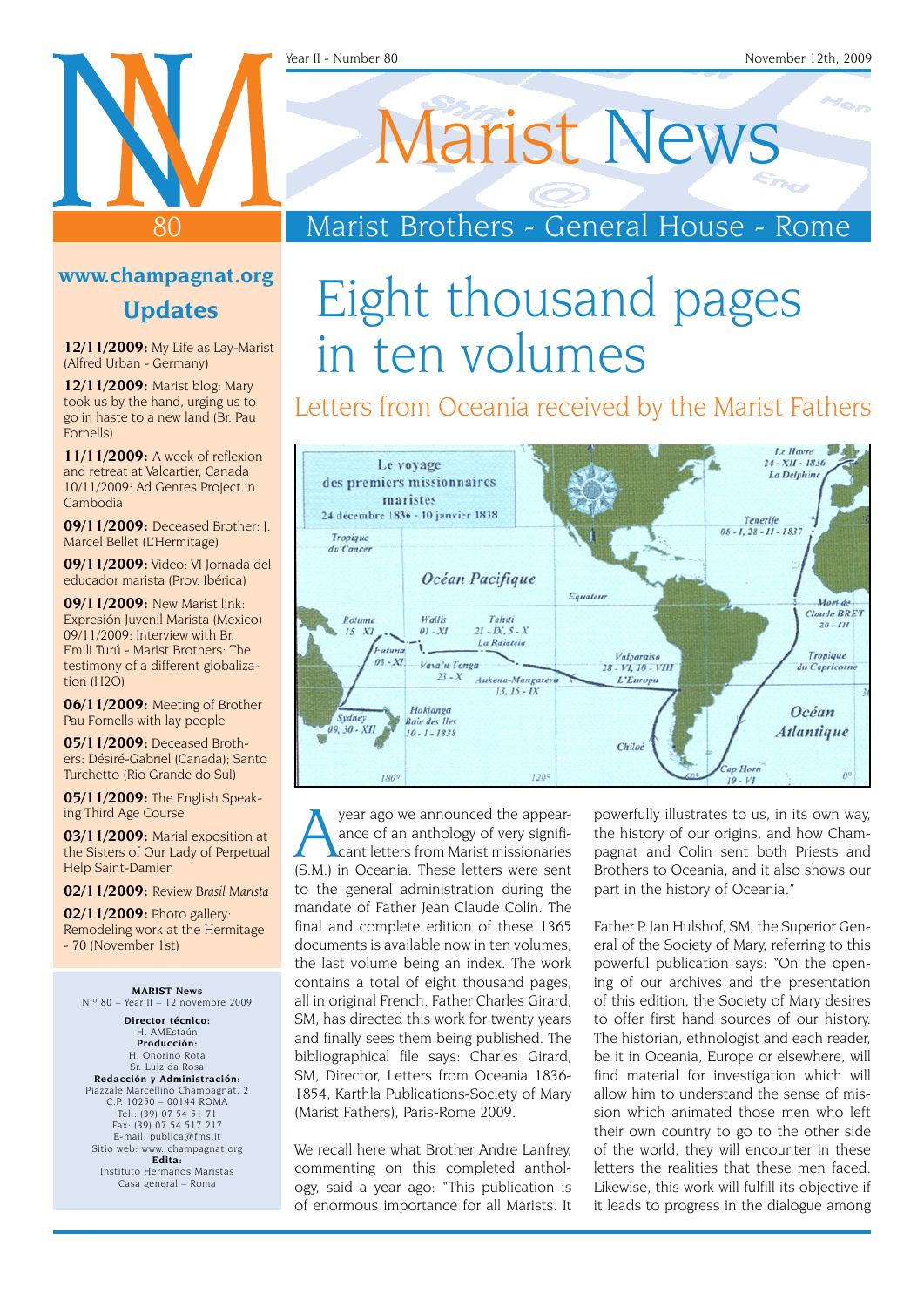#### Year II - Number 80 November 12th, 2009

# Marist News

Marist Brothers - General House - Rome

#### **www.champagnat.org**

80

#### **Updates**

**12/11/2009:** My Life as Lay-Marist (Alfred Urban - Germany)

**12/11/2009:** Marist blog: Mary took us by the hand, urging us to go in haste to a new land (Br. Pau Fornells)

**11/11/2009:** A week of reflexion and retreat at Valcartier, Canada 10/11/2009: Ad Gentes Project in Cambodia

**09/11/2009:** Deceased Brother: J. Marcel Bellet (L'Hermitage)

**09/11/2009:** Video: VI Jornada del educador marista (Prov. Ibérica)

**09/11/2009:** New Marist link: Expresión Juvenil Marista (Mexico) 09/11/2009: Interview with Br. Emili Turú - Marist Brothers: The testimony of a different globalization (H2O)

**06/11/2009:** Meeting of Brother Pau Fornells with lay people

**05/11/2009:** Deceased Brothers: Désiré-Gabriel (Canada); Santo Turchetto (Rio Grande do Sul)

**05/11/2009:** The English Speaking Third Age Course

**03/11/2009:** Marial exposition at the Sisters of Our Lady of Perpetual Help Saint-Damien

**02/11/2009:** Review *Brasil Marista*

**02/11/2009:** Photo gallery: Remodeling work at the Hermitage - 70 (November 1st)

**Marist News**  $N.°80 - Year II - 12$  novembre 2009

**Director técnico:** H. AMEstaún **Producción:** H. Onorino Rota Sr. Luiz da Rosa **Redacción y Administración:** Piazzale Marcellino Champagnat, 2 C.P. 10250 – 00144 ROMA Tel.: (39) 07 54 51 71 Fax: (39) 07 54 517 217 E-mail: publica@fms.it Sitio web: www. champagnat.org **Edita:** Instituto Hermanos Maristas Casa general – Roma

# Eight thousand pages in ten volumes

#### Letters from Oceania received by the Marist Fathers



year ago we announced the appear-<br>ance of an anthology of very signifi-<br>cant letters from Marist missionaries ance of an anthology of very significant letters from Marist missionaries (S.M.) in Oceania. These letters were sent to the general administration during the mandate of Father Jean Claude Colin. The final and complete edition of these 1365 documents is available now in ten volumes, the last volume being an index. The work contains a total of eight thousand pages, all in original French. Father Charles Girard, SM, has directed this work for twenty years and finally sees them being published. The bibliographical file says: Charles Girard, SM, Director, Letters from Oceania 1836- 1854, Karthla Publications-Society of Mary (Marist Fathers), Paris-Rome 2009.

We recall here what Brother Andre Lanfrey, commenting on this completed anthology, said a year ago: "This publication is of enormous importance for all Marists. It powerfully illustrates to us, in its own way, the history of our origins, and how Champagnat and Colin sent both Priests and Brothers to Oceania, and it also shows our part in the history of Oceania."

Father P. Jan Hulshof, SM, the Superior General of the Society of Mary, referring to this powerful publication says: "On the opening of our archives and the presentation of this edition, the Society of Mary desires to offer first hand sources of our history. The historian, ethnologist and each reader, be it in Oceania, Europe or elsewhere, will find material for investigation which will allow him to understand the sense of mission which animated those men who left their own country to go to the other side of the world, they will encounter in these letters the realities that these men faced. Likewise, this work will fulfill its objective if it leads to progress in the dialogue among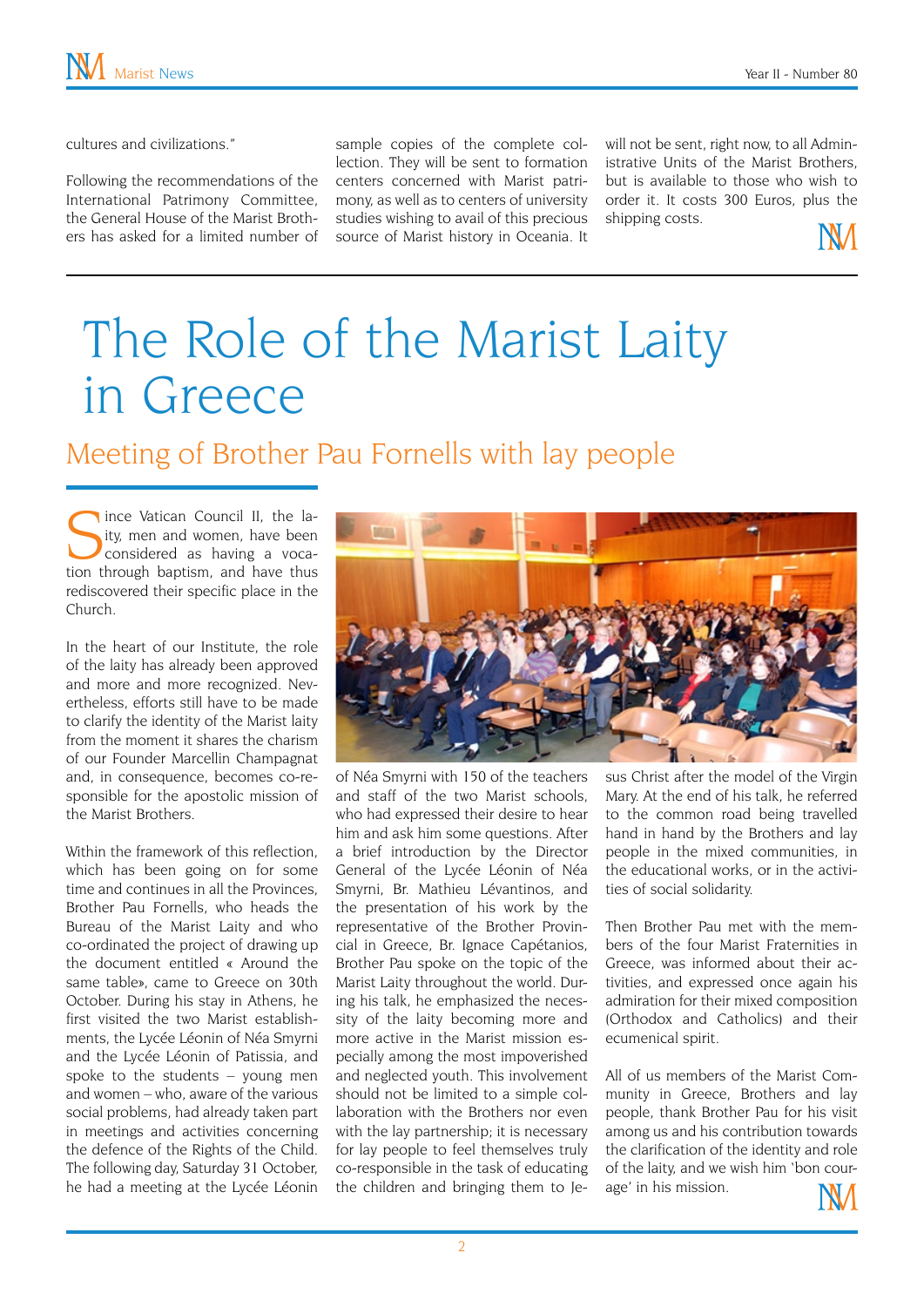cultures and civilizations."

Following the recommendations of the International Patrimony Committee, the General House of the Marist Brothers has asked for a limited number of sample copies of the complete collection. They will be sent to formation centers concerned with Marist patrimony, as well as to centers of university studies wishing to avail of this precious source of Marist history in Oceania. It

will not be sent, right now, to all Administrative Units of the Marist Brothers, but is available to those who wish to order it. It costs 300 Euros, plus the shipping costs.



# The Role of the Marist Laity in Greece

Meeting of Brother Pau Fornells with lay people

Ince Vatican Council II, the laity, men and women, have been considered as having a vocation through baptism, and have thus rediscovered their specific place in the Church.

In the heart of our Institute, the role of the laity has already been approved and more and more recognized. Nevertheless, efforts still have to be made to clarify the identity of the Marist laity from the moment it shares the charism of our Founder Marcellin Champagnat and, in consequence, becomes co-responsible for the apostolic mission of the Marist Brothers.

Within the framework of this reflection, which has been going on for some time and continues in all the Provinces, Brother Pau Fornells, who heads the Bureau of the Marist Laity and who co-ordinated the project of drawing up the document entitled « Around the same table», came to Greece on 30th October. During his stay in Athens, he first visited the two Marist establishments, the Lycée Léonin of Néa Smyrni and the Lycée Léonin of Patissia, and spoke to the students – young men and women – who, aware of the various social problems, had already taken part in meetings and activities concerning the defence of the Rights of the Child. The following day, Saturday 31 October, he had a meeting at the Lycée Léonin



of Néa Smyrni with 150 of the teachers and staff of the two Marist schools, who had expressed their desire to hear him and ask him some questions. After a brief introduction by the Director General of the Lycée Léonin of Néa Smyrni, Br. Mathieu Lévantinos, and the presentation of his work by the representative of the Brother Provincial in Greece, Br. Ignace Capétanios, Brother Pau spoke on the topic of the Marist Laity throughout the world. During his talk, he emphasized the necessity of the laity becoming more and more active in the Marist mission especially among the most impoverished and neglected youth. This involvement should not be limited to a simple collaboration with the Brothers nor even with the lay partnership; it is necessary for lay people to feel themselves truly co-responsible in the task of educating the children and bringing them to Je-

sus Christ after the model of the Virgin Mary. At the end of his talk, he referred to the common road being travelled hand in hand by the Brothers and lay people in the mixed communities, in the educational works, or in the activities of social solidarity.

Then Brother Pau met with the members of the four Marist Fraternities in Greece, was informed about their activities, and expressed once again his admiration for their mixed composition (Orthodox and Catholics) and their ecumenical spirit.

All of us members of the Marist Community in Greece, Brothers and lay people, thank Brother Pau for his visit among us and his contribution towards the clarification of the identity and role of the laity, and we wish him 'bon courage' in his mission.

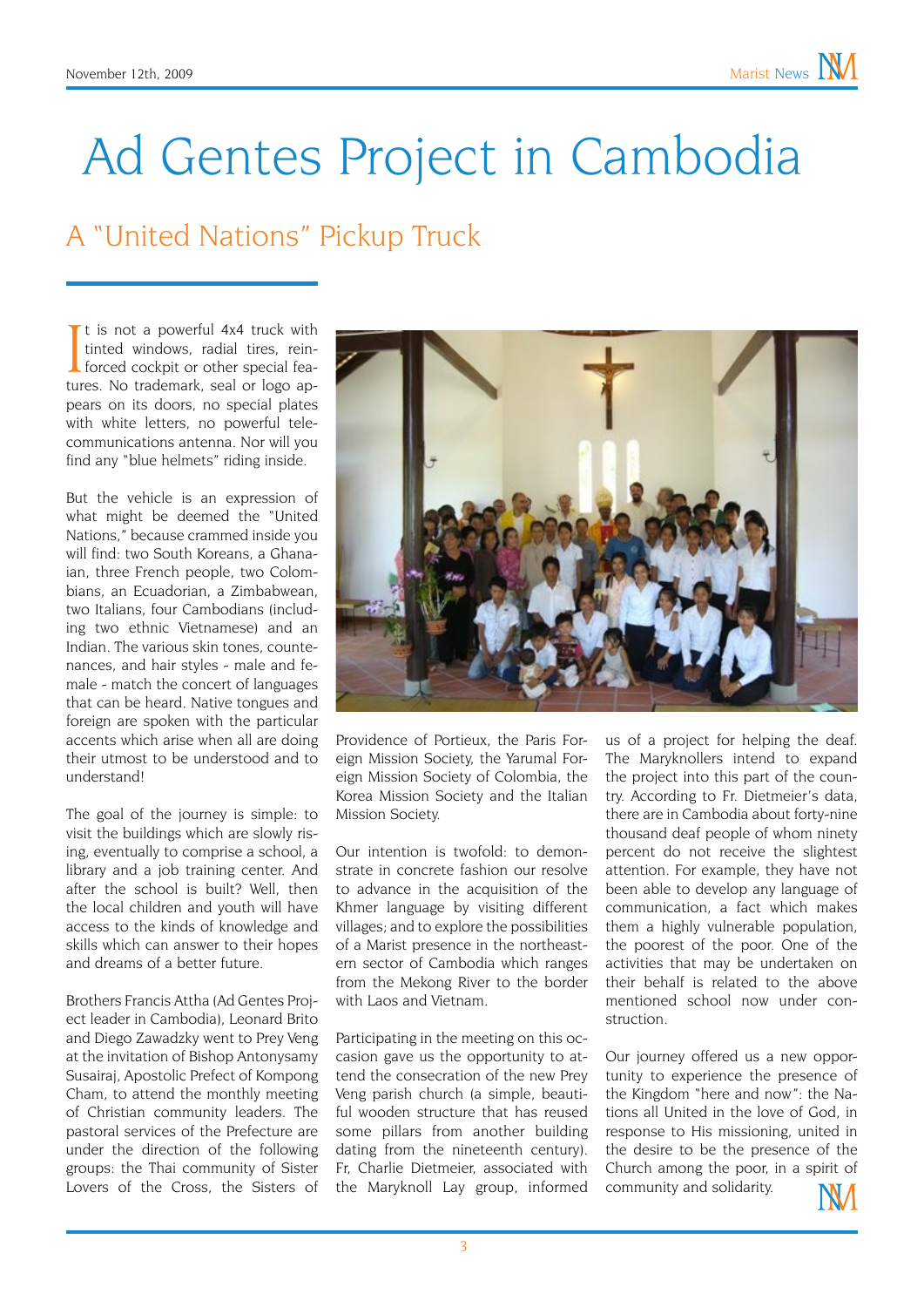# Ad Gentes Project in Cambodia

### A "United Nations" Pickup Truck

It is not a powerful 4x4 truck with<br>tinted windows, radial tires, rein-<br>forced cockpit or other special fea-<br>tures. No trademark, seal or logo apt is not a powerful 4x4 truck with tinted windows, radial tires, reinforced cockpit or other special feapears on its doors, no special plates with white letters, no powerful telecommunications antenna. Nor will you find any "blue helmets" riding inside.

But the vehicle is an expression of what might be deemed the "United Nations," because crammed inside you will find: two South Koreans, a Ghanaian, three French people, two Colombians, an Ecuadorian, a Zimbabwean, two Italians, four Cambodians (including two ethnic Vietnamese) and an Indian. The various skin tones, countenances, and hair styles - male and female - match the concert of languages that can be heard. Native tongues and foreign are spoken with the particular accents which arise when all are doing their utmost to be understood and to understand!

The goal of the journey is simple: to visit the buildings which are slowly rising, eventually to comprise a school, a library and a job training center. And after the school is built? Well, then the local children and youth will have access to the kinds of knowledge and skills which can answer to their hopes and dreams of a better future.

Brothers Francis Attha (Ad Gentes Project leader in Cambodia), Leonard Brito and Diego Zawadzky went to Prey Veng at the invitation of Bishop Antonysamy Susairaj, Apostolic Prefect of Kompong Cham, to attend the monthly meeting of Christian community leaders. The pastoral services of the Prefecture are under the direction of the following groups: the Thai community of Sister Lovers of the Cross, the Sisters of



Providence of Portieux, the Paris Foreign Mission Society, the Yarumal Foreign Mission Society of Colombia, the Korea Mission Society and the Italian Mission Society.

Our intention is twofold: to demonstrate in concrete fashion our resolve to advance in the acquisition of the Khmer language by visiting different villages; and to explore the possibilities of a Marist presence in the northeastern sector of Cambodia which ranges from the Mekong River to the border with Laos and Vietnam

Participating in the meeting on this occasion gave us the opportunity to attend the consecration of the new Prey Veng parish church (a simple, beautiful wooden structure that has reused some pillars from another building dating from the nineteenth century). Fr, Charlie Dietmeier, associated with the Maryknoll Lay group, informed

us of a project for helping the deaf. The Maryknollers intend to expand the project into this part of the country. According to Fr. Dietmeier's data, there are in Cambodia about forty-nine thousand deaf people of whom ninety percent do not receive the slightest attention. For example, they have not been able to develop any language of communication, a fact which makes them a highly vulnerable population, the poorest of the poor. One of the activities that may be undertaken on their behalf is related to the above mentioned school now under construction.

Our journey offered us a new opportunity to experience the presence of the Kingdom "here and now": the Nations all United in the love of God, in response to His missioning, united in the desire to be the presence of the Church among the poor, in a spirit of community and solidarity.